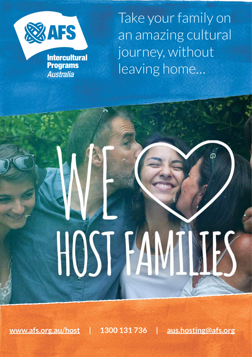

**Intercultural Programs Australia** 

Take your family on an amazing cultural journey, without leaving home…

# HOST H

**[www.afs.org.au/host](http://www.afs.org.au/host) | 1300 131 736 | [aus.hosting@afs.org](mailto:aus.hosting@afs.org)**